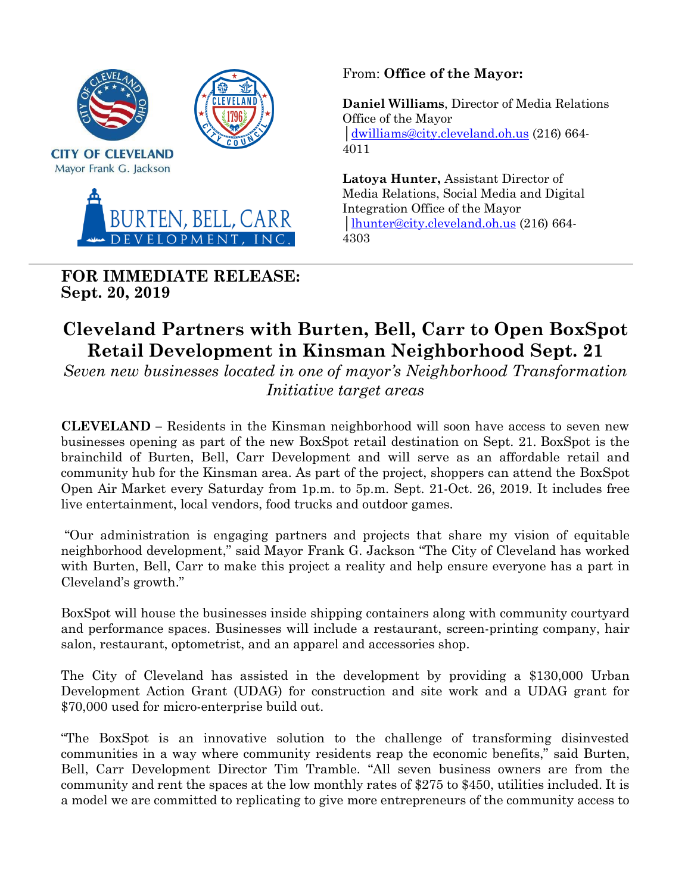

**FOR IMMEDIATE RELEASE: Sept. 20, 2019**

From: **Office of the Mayor:** 

**Daniel Williams**, Director of Media Relations Office of the Mayor │[dwilliams@city.cleveland.oh.us](mailto:dwilliams@city.cleveland.oh.us) (216) 664- 4011

**Latoya Hunter,** Assistant Director of Media Relations, Social Media and Digital Integration Office of the Mayor │[lhunter@city.cleveland.oh.us](mailto:lhunter@city.cleveland.oh.us) (216) 664- 4303

## **Cleveland Partners with Burten, Bell, Carr to Open BoxSpot Retail Development in Kinsman Neighborhood Sept. 21**

*Seven new businesses located in one of mayor's Neighborhood Transformation Initiative target areas*

**CLEVELAND –** Residents in the Kinsman neighborhood will soon have access to seven new businesses opening as part of the new BoxSpot retail destination on Sept. 21. BoxSpot is the brainchild of Burten, Bell, Carr Development and will serve as an affordable retail and community hub for the Kinsman area. As part of the project, shoppers can attend the BoxSpot Open Air Market every Saturday from 1p.m. to 5p.m. Sept. 21-Oct. 26, 2019. It includes free live entertainment, local vendors, food trucks and outdoor games.

"Our administration is engaging partners and projects that share my vision of equitable neighborhood development," said Mayor Frank G. Jackson "The City of Cleveland has worked with Burten, Bell, Carr to make this project a reality and help ensure everyone has a part in Cleveland's growth."

BoxSpot will house the businesses inside shipping containers along with community courtyard and performance spaces. Businesses will include a restaurant, screen-printing company, hair salon, restaurant, optometrist, and an apparel and accessories shop.

The City of Cleveland has assisted in the development by providing a \$130,000 Urban Development Action Grant (UDAG) for construction and site work and a UDAG grant for \$70,000 used for micro-enterprise build out.

"The BoxSpot is an innovative solution to the challenge of transforming disinvested communities in a way where community residents reap the economic benefits," said Burten, Bell, Carr Development Director Tim Tramble. "All seven business owners are from the community and rent the spaces at the low monthly rates of \$275 to \$450, utilities included. It is a model we are committed to replicating to give more entrepreneurs of the community access to